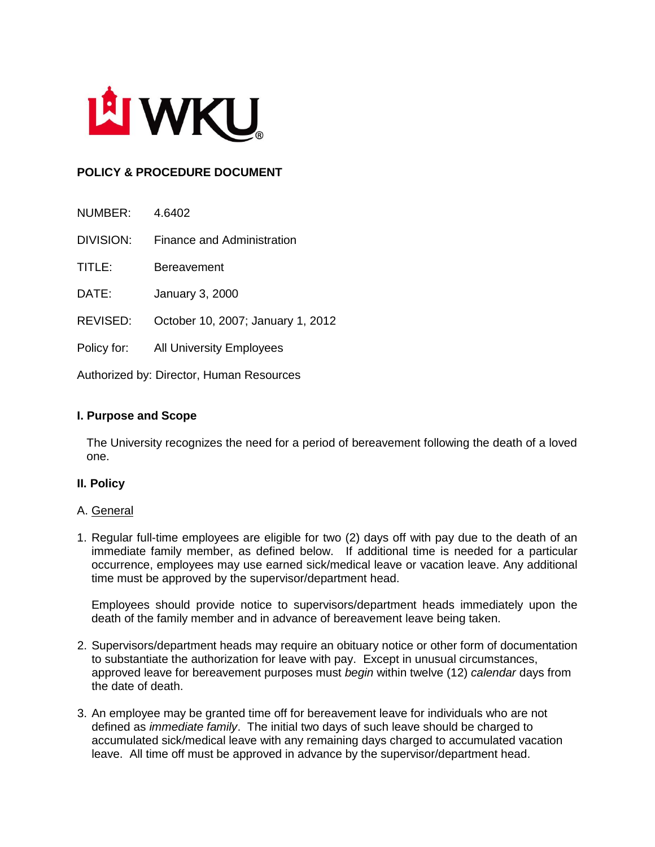

# **POLICY & PROCEDURE DOCUMENT**

| NUMBER:     | 4.6402                            |
|-------------|-----------------------------------|
| DIVISION:   | Finance and Administration        |
| TITLE:      | <b>Bereavement</b>                |
| DATE:       | <b>January 3, 2000</b>            |
| REVISED:    | October 10, 2007; January 1, 2012 |
| Policy for: | <b>All University Employees</b>   |

Authorized by: Director, Human Resources

## **I. Purpose and Scope**

The University recognizes the need for a period of bereavement following the death of a loved one.

### **II. Policy**

### A. General

1. Regular full-time employees are eligible for two (2) days off with pay due to the death of an immediate family member, as defined below. If additional time is needed for a particular occurrence, employees may use earned sick/medical leave or vacation leave. Any additional time must be approved by the supervisor/department head.

Employees should provide notice to supervisors/department heads immediately upon the death of the family member and in advance of bereavement leave being taken.

- 2. Supervisors/department heads may require an obituary notice or other form of documentation to substantiate the authorization for leave with pay. Except in unusual circumstances, approved leave for bereavement purposes must *begin* within twelve (12) *calendar* days from the date of death.
- 3. An employee may be granted time off for bereavement leave for individuals who are not defined as *immediate family*. The initial two days of such leave should be charged to accumulated sick/medical leave with any remaining days charged to accumulated vacation leave. All time off must be approved in advance by the supervisor/department head.